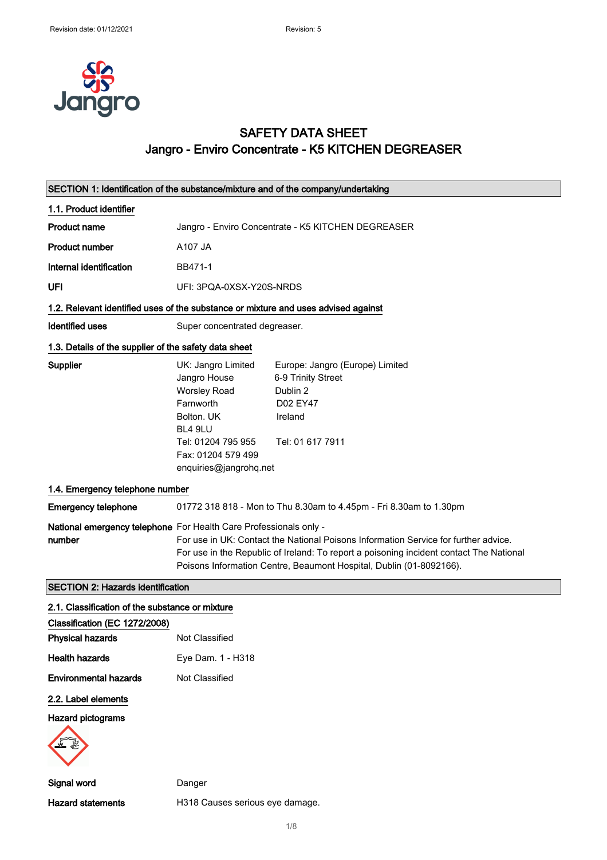

## SAFETY DATA SHEET Jangro - Enviro Concentrate - K5 KITCHEN DEGREASER

| SECTION 1: Identification of the substance/mixture and of the company/undertaking  |                                                                                                                                                                       |                                                                                                                                                                                                                                                       |  |
|------------------------------------------------------------------------------------|-----------------------------------------------------------------------------------------------------------------------------------------------------------------------|-------------------------------------------------------------------------------------------------------------------------------------------------------------------------------------------------------------------------------------------------------|--|
| 1.1. Product identifier                                                            |                                                                                                                                                                       |                                                                                                                                                                                                                                                       |  |
| <b>Product name</b>                                                                | Jangro - Enviro Concentrate - K5 KITCHEN DEGREASER                                                                                                                    |                                                                                                                                                                                                                                                       |  |
| <b>Product number</b>                                                              | A107 JA                                                                                                                                                               |                                                                                                                                                                                                                                                       |  |
| Internal identification                                                            | BB471-1                                                                                                                                                               |                                                                                                                                                                                                                                                       |  |
| UFI                                                                                | UFI: 3PQA-0XSX-Y20S-NRDS                                                                                                                                              |                                                                                                                                                                                                                                                       |  |
| 1.2. Relevant identified uses of the substance or mixture and uses advised against |                                                                                                                                                                       |                                                                                                                                                                                                                                                       |  |
| <b>Identified uses</b>                                                             | Super concentrated degreaser.                                                                                                                                         |                                                                                                                                                                                                                                                       |  |
|                                                                                    | 1.3. Details of the supplier of the safety data sheet                                                                                                                 |                                                                                                                                                                                                                                                       |  |
| Supplier                                                                           | UK: Jangro Limited<br>Jangro House<br><b>Worsley Road</b><br>Farnworth<br>Bolton, UK<br>BL4 9LU<br>Tel: 01204 795 955<br>Fax: 01204 579 499<br>enquiries@jangrohq.net | Europe: Jangro (Europe) Limited<br>6-9 Trinity Street<br>Dublin 2<br>D02 EY47<br>Ireland<br>Tel: 01 617 7911                                                                                                                                          |  |
| 1.4. Emergency telephone number                                                    |                                                                                                                                                                       |                                                                                                                                                                                                                                                       |  |
| <b>Emergency telephone</b>                                                         |                                                                                                                                                                       | 01772 318 818 - Mon to Thu 8.30am to 4.45pm - Fri 8.30am to 1.30pm                                                                                                                                                                                    |  |
| National emergency telephone For Health Care Professionals only -<br>number        |                                                                                                                                                                       | For use in UK: Contact the National Poisons Information Service for further advice.<br>For use in the Republic of Ireland: To report a poisoning incident contact The National<br>Poisons Information Centre, Beaumont Hospital, Dublin (01-8092166). |  |
| <b>SECTION 2: Hazards identification</b>                                           |                                                                                                                                                                       |                                                                                                                                                                                                                                                       |  |
| 2.1. Classification of the substance or mixture                                    |                                                                                                                                                                       |                                                                                                                                                                                                                                                       |  |
| Classification (EC 1272/2008)                                                      |                                                                                                                                                                       |                                                                                                                                                                                                                                                       |  |
| <b>Physical hazards</b>                                                            | Not Classified                                                                                                                                                        |                                                                                                                                                                                                                                                       |  |
| <b>Health hazards</b>                                                              | Eye Dam. 1 - H318                                                                                                                                                     |                                                                                                                                                                                                                                                       |  |
| <b>Environmental hazards</b>                                                       | Not Classified                                                                                                                                                        |                                                                                                                                                                                                                                                       |  |
| 2.2. Label elements                                                                |                                                                                                                                                                       |                                                                                                                                                                                                                                                       |  |
| <b>Hazard pictograms</b>                                                           |                                                                                                                                                                       |                                                                                                                                                                                                                                                       |  |
| Signal word                                                                        | Danger                                                                                                                                                                |                                                                                                                                                                                                                                                       |  |
| <b>Hazard statements</b>                                                           | H318 Causes serious eye damage.                                                                                                                                       |                                                                                                                                                                                                                                                       |  |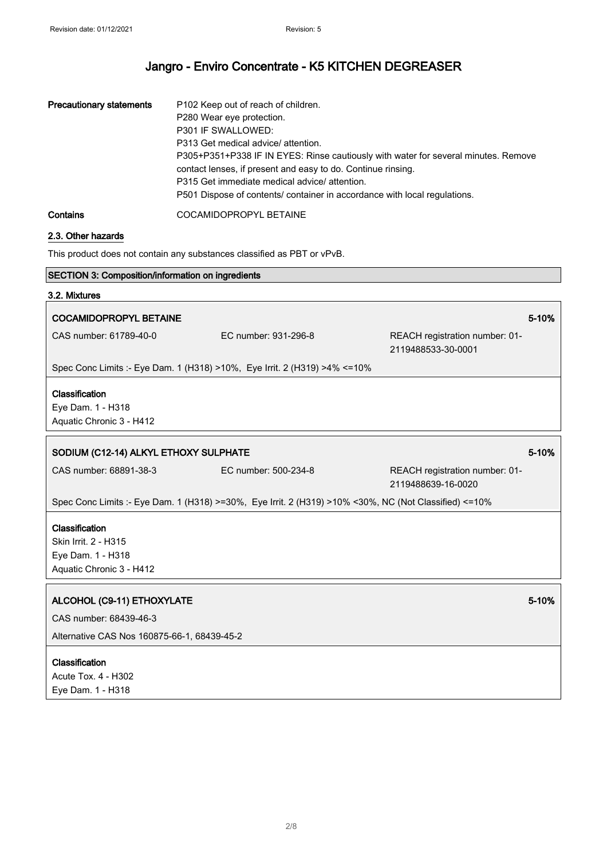| <b>Precautionary statements</b> | P102 Keep out of reach of children.<br>P280 Wear eye protection.<br>P301 IF SWALLOWED:<br>P313 Get medical advice/ attention.<br>P305+P351+P338 IF IN EYES: Rinse cautiously with water for several minutes. Remove<br>contact lenses, if present and easy to do. Continue rinsing.<br>P315 Get immediate medical advice/attention.<br>P501 Dispose of contents/ container in accordance with local regulations. |
|---------------------------------|------------------------------------------------------------------------------------------------------------------------------------------------------------------------------------------------------------------------------------------------------------------------------------------------------------------------------------------------------------------------------------------------------------------|
| Contains                        | COCAMIDOPROPYL BETAINE                                                                                                                                                                                                                                                                                                                                                                                           |

### 2.3. Other hazards

This product does not contain any substances classified as PBT or vPvB.

# SECTION 3: Composition/information on ingredients 3.2. Mixtures COCAMIDOPROPYL BETAINE **1999** The set of the set of the set of the set of the set of the set of the set of the set of the set of the set of the set of the set of the set of the set of the set of the set of the set of the s CAS number: 61789-40-0 EC number: 931-296-8 REACH registration number: 01- 2119488533-30-0001 Spec Conc Limits :- Eye Dam. 1 (H318) >10%, Eye Irrit. 2 (H319) >4% <=10% Classification Eye Dam. 1 - H318 Aquatic Chronic 3 - H412 SODIUM (C12-14) ALKYL ETHOXY SULPHATE 5-10% SODIUM (C12-14) ALKYL ETHOXY SULPHATE CAS number: 68891-38-3 EC number: 500-234-8 REACH registration number: 01- 2119488639-16-0020 Spec Conc Limits :- Eye Dam. 1 (H318) >=30%, Eye Irrit. 2 (H319) >10% <30%, NC (Not Classified) <=10% **Classification** Skin Irrit. 2 - H315 Eye Dam. 1 - H318 Aquatic Chronic 3 - H412 ALCOHOL (C9-11) ETHOXYLATE 6-10% of the state of the state of the state of the state of the state of the state of the state of the state of the state of the state of the state of the state of the state of the state of the CAS number: 68439-46-3 Alternative CAS Nos 160875-66-1, 68439-45-2 **Classification** Acute Tox. 4 - H302 Eye Dam. 1 - H318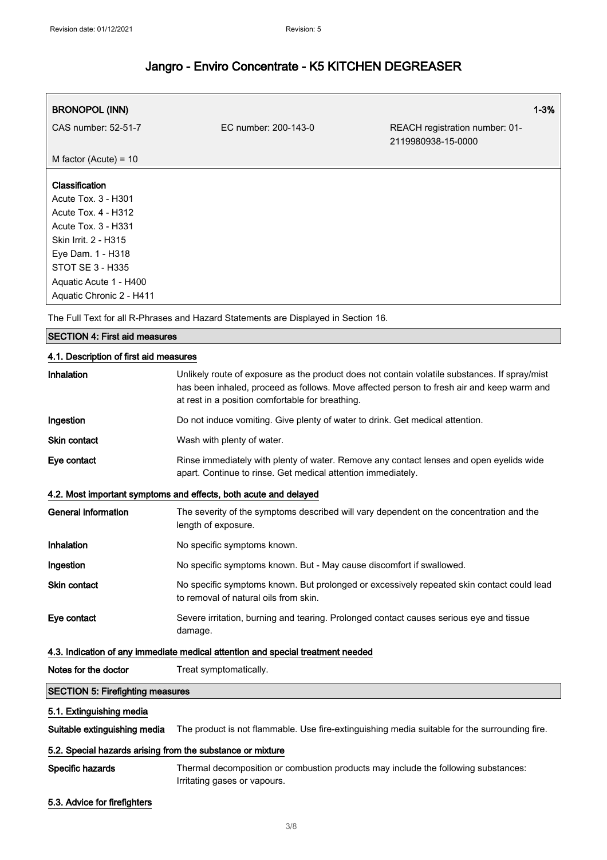| <b>BRONOPOL (INN)</b>    |                      |                                                      | $1 - 3%$ |
|--------------------------|----------------------|------------------------------------------------------|----------|
| CAS number: 52-51-7      | EC number: 200-143-0 | REACH registration number: 01-<br>2119980938-15-0000 |          |
| M factor (Acute) = $10$  |                      |                                                      |          |
| Classification           |                      |                                                      |          |
| Acute Tox. 3 - H301      |                      |                                                      |          |
| Acute Tox. 4 - H312      |                      |                                                      |          |
| Acute Tox. 3 - H331      |                      |                                                      |          |
| Skin Irrit. 2 - H315     |                      |                                                      |          |
| Eye Dam. 1 - H318        |                      |                                                      |          |
| STOT SE 3 - H335         |                      |                                                      |          |
| Aquatic Acute 1 - H400   |                      |                                                      |          |
| Aquatic Chronic 2 - H411 |                      |                                                      |          |

The Full Text for all R-Phrases and Hazard Statements are Displayed in Section 16.

#### SECTION 4: First aid measures

## 4.1. Description of first aid measures Inhalation Unlikely route of exposure as the product does not contain volatile substances. If spray/mist has been inhaled, proceed as follows. Move affected person to fresh air and keep warm and at rest in a position comfortable for breathing. Ingestion **Do not induce vomiting. Give plenty of water to drink**. Get medical attention. Skin contact Wash with plenty of water. Eye contact **Rinse immediately with plenty of water. Remove any contact lenses and open eyelids wide** apart. Continue to rinse. Get medical attention immediately. 4.2. Most important symptoms and effects, both acute and delayed General information The severity of the symptoms described will vary dependent on the concentration and the length of exposure. Inhalation No specific symptoms known. Ingestion **No specific symptoms known. But - May cause discomfort if swallowed.** Skin contact No specific symptoms known. But prolonged or excessively repeated skin contact could lead to removal of natural oils from skin. Eye contact Severe irritation, burning and tearing. Prolonged contact causes serious eye and tissue damage. 4.3. Indication of any immediate medical attention and special treatment needed Notes for the doctor Treat symptomatically. SECTION 5: Firefighting measures 5.1. Extinguishing media Suitable extinguishing media The product is not flammable. Use fire-extinguishing media suitable for the surrounding fire.

### 5.2. Special hazards arising from the substance or mixture

Specific hazards **Thermal decomposition or combustion products may include the following substances:** Irritating gases or vapours.

5.3. Advice for firefighters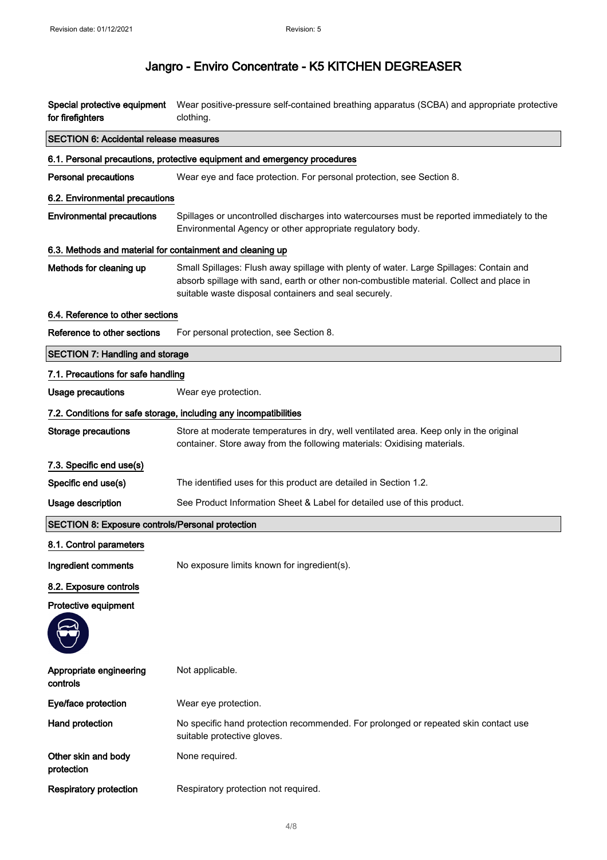| for firefighters                                          | Special protective equipment Wear positive-pressure self-contained breathing apparatus (SCBA) and appropriate protective<br>clothing.                                                                                                        |  |
|-----------------------------------------------------------|----------------------------------------------------------------------------------------------------------------------------------------------------------------------------------------------------------------------------------------------|--|
| <b>SECTION 6: Accidental release measures</b>             |                                                                                                                                                                                                                                              |  |
|                                                           | 6.1. Personal precautions, protective equipment and emergency procedures                                                                                                                                                                     |  |
| <b>Personal precautions</b>                               | Wear eye and face protection. For personal protection, see Section 8.                                                                                                                                                                        |  |
| 6.2. Environmental precautions                            |                                                                                                                                                                                                                                              |  |
| <b>Environmental precautions</b>                          | Spillages or uncontrolled discharges into watercourses must be reported immediately to the<br>Environmental Agency or other appropriate regulatory body.                                                                                     |  |
| 6.3. Methods and material for containment and cleaning up |                                                                                                                                                                                                                                              |  |
| Methods for cleaning up                                   | Small Spillages: Flush away spillage with plenty of water. Large Spillages: Contain and<br>absorb spillage with sand, earth or other non-combustible material. Collect and place in<br>suitable waste disposal containers and seal securely. |  |
| 6.4. Reference to other sections                          |                                                                                                                                                                                                                                              |  |
| Reference to other sections                               | For personal protection, see Section 8.                                                                                                                                                                                                      |  |
| <b>SECTION 7: Handling and storage</b>                    |                                                                                                                                                                                                                                              |  |
| 7.1. Precautions for safe handling                        |                                                                                                                                                                                                                                              |  |
| <b>Usage precautions</b>                                  | Wear eye protection.                                                                                                                                                                                                                         |  |
|                                                           | 7.2. Conditions for safe storage, including any incompatibilities                                                                                                                                                                            |  |
| Storage precautions                                       | Store at moderate temperatures in dry, well ventilated area. Keep only in the original<br>container. Store away from the following materials: Oxidising materials.                                                                           |  |
| 7.3. Specific end use(s)                                  |                                                                                                                                                                                                                                              |  |
| Specific end use(s)                                       | The identified uses for this product are detailed in Section 1.2.                                                                                                                                                                            |  |
| Usage description                                         | See Product Information Sheet & Label for detailed use of this product.                                                                                                                                                                      |  |
| <b>SECTION 8: Exposure controls/Personal protection</b>   |                                                                                                                                                                                                                                              |  |
| 8.1. Control parameters                                   |                                                                                                                                                                                                                                              |  |
| Ingredient comments                                       | No exposure limits known for ingredient(s).                                                                                                                                                                                                  |  |
| 8.2. Exposure controls                                    |                                                                                                                                                                                                                                              |  |
| Protective equipment                                      |                                                                                                                                                                                                                                              |  |
| Appropriate engineering<br>controls                       | Not applicable.                                                                                                                                                                                                                              |  |
| Eye/face protection                                       | Wear eye protection.                                                                                                                                                                                                                         |  |
| Hand protection                                           | No specific hand protection recommended. For prolonged or repeated skin contact use<br>suitable protective gloves.                                                                                                                           |  |
| Other skin and body<br>protection                         | None required.                                                                                                                                                                                                                               |  |
| <b>Respiratory protection</b>                             | Respiratory protection not required.                                                                                                                                                                                                         |  |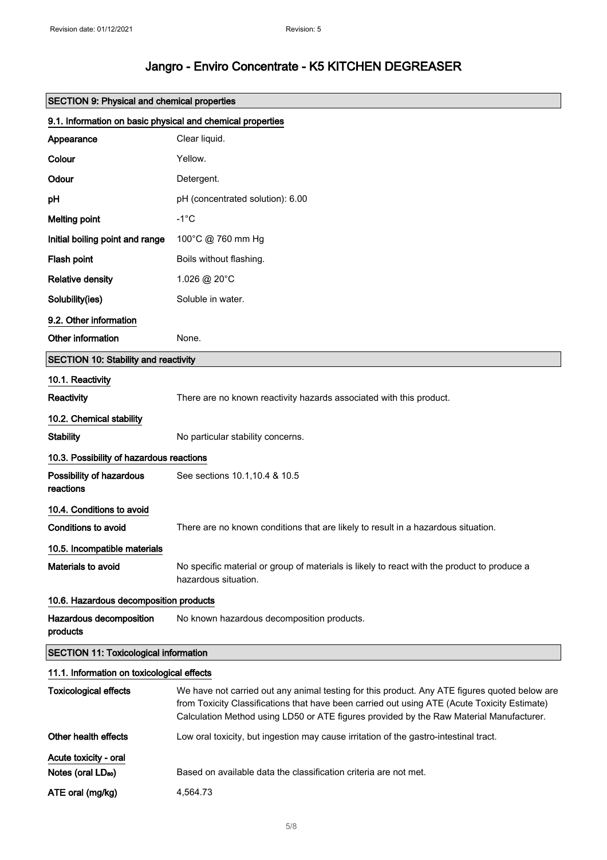| <b>SECTION 9: Physical and chemical properties</b>         |                                                                                                                                                                                                                                                                                          |  |
|------------------------------------------------------------|------------------------------------------------------------------------------------------------------------------------------------------------------------------------------------------------------------------------------------------------------------------------------------------|--|
| 9.1. Information on basic physical and chemical properties |                                                                                                                                                                                                                                                                                          |  |
| Appearance                                                 | Clear liquid.                                                                                                                                                                                                                                                                            |  |
| Colour                                                     | Yellow.                                                                                                                                                                                                                                                                                  |  |
| Odour                                                      | Detergent.                                                                                                                                                                                                                                                                               |  |
| рH                                                         | pH (concentrated solution): 6.00                                                                                                                                                                                                                                                         |  |
| <b>Melting point</b>                                       | $-1^{\circ}$ C                                                                                                                                                                                                                                                                           |  |
| Initial boiling point and range                            | 100°C @ 760 mm Hg                                                                                                                                                                                                                                                                        |  |
| Flash point                                                | Boils without flashing.                                                                                                                                                                                                                                                                  |  |
| <b>Relative density</b>                                    | 1.026 @ 20°C                                                                                                                                                                                                                                                                             |  |
| Solubility(ies)                                            | Soluble in water.                                                                                                                                                                                                                                                                        |  |
| 9.2. Other information                                     |                                                                                                                                                                                                                                                                                          |  |
| Other information                                          | None.                                                                                                                                                                                                                                                                                    |  |
| <b>SECTION 10: Stability and reactivity</b>                |                                                                                                                                                                                                                                                                                          |  |
| 10.1. Reactivity                                           |                                                                                                                                                                                                                                                                                          |  |
| <b>Reactivity</b>                                          | There are no known reactivity hazards associated with this product.                                                                                                                                                                                                                      |  |
| 10.2. Chemical stability                                   |                                                                                                                                                                                                                                                                                          |  |
| <b>Stability</b>                                           | No particular stability concerns.                                                                                                                                                                                                                                                        |  |
| 10.3. Possibility of hazardous reactions                   |                                                                                                                                                                                                                                                                                          |  |
| Possibility of hazardous<br>reactions                      | See sections 10.1, 10.4 & 10.5                                                                                                                                                                                                                                                           |  |
| 10.4. Conditions to avoid                                  |                                                                                                                                                                                                                                                                                          |  |
| <b>Conditions to avoid</b>                                 | There are no known conditions that are likely to result in a hazardous situation.                                                                                                                                                                                                        |  |
| 10.5. Incompatible materials                               |                                                                                                                                                                                                                                                                                          |  |
| <b>Materials to avoid</b>                                  | No specific material or group of materials is likely to react with the product to produce a<br>hazardous situation.                                                                                                                                                                      |  |
| 10.6. Hazardous decomposition products                     |                                                                                                                                                                                                                                                                                          |  |
| Hazardous decomposition<br>products                        | No known hazardous decomposition products.                                                                                                                                                                                                                                               |  |
| <b>SECTION 11: Toxicological information</b>               |                                                                                                                                                                                                                                                                                          |  |
| 11.1. Information on toxicological effects                 |                                                                                                                                                                                                                                                                                          |  |
| <b>Toxicological effects</b>                               | We have not carried out any animal testing for this product. Any ATE figures quoted below are<br>from Toxicity Classifications that have been carried out using ATE (Acute Toxicity Estimate)<br>Calculation Method using LD50 or ATE figures provided by the Raw Material Manufacturer. |  |
| Other health effects                                       | Low oral toxicity, but ingestion may cause irritation of the gastro-intestinal tract.                                                                                                                                                                                                    |  |
| Acute toxicity - oral                                      |                                                                                                                                                                                                                                                                                          |  |
| Notes (oral LD <sub>50</sub> )                             | Based on available data the classification criteria are not met.                                                                                                                                                                                                                         |  |
| ATE oral (mg/kg)                                           | 4,564.73                                                                                                                                                                                                                                                                                 |  |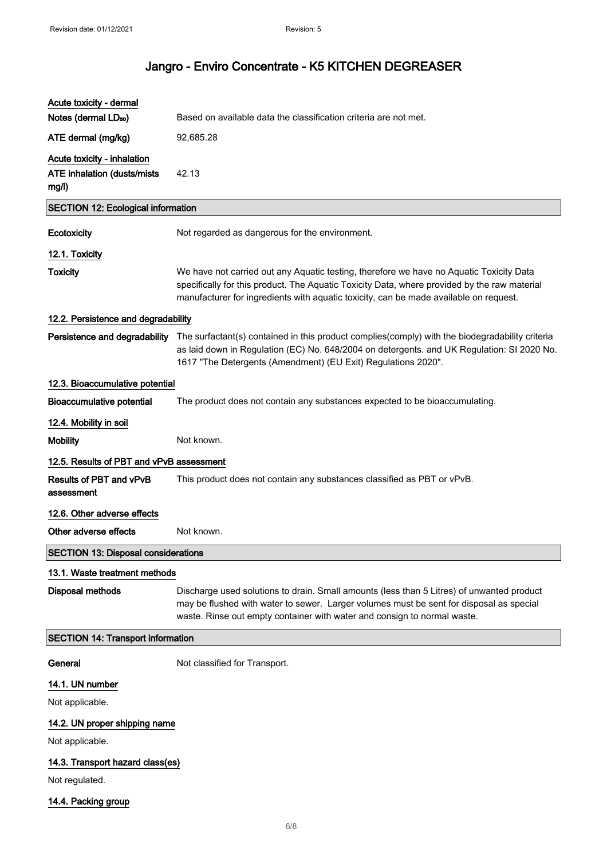| Acute toxicity - dermal                      |                                                                                                                                                                                                                                                                                              |
|----------------------------------------------|----------------------------------------------------------------------------------------------------------------------------------------------------------------------------------------------------------------------------------------------------------------------------------------------|
| Notes (dermal LD <sub>50</sub> )             | Based on available data the classification criteria are not met.                                                                                                                                                                                                                             |
| ATE dermal (mg/kg)                           | 92,685.28                                                                                                                                                                                                                                                                                    |
| Acute toxicity - inhalation                  |                                                                                                                                                                                                                                                                                              |
| <b>ATE inhalation (dusts/mists)</b><br>mg/l) | 42.13                                                                                                                                                                                                                                                                                        |
| <b>SECTION 12: Ecological information</b>    |                                                                                                                                                                                                                                                                                              |
| Ecotoxicity                                  | Not regarded as dangerous for the environment.                                                                                                                                                                                                                                               |
| 12.1. Toxicity                               |                                                                                                                                                                                                                                                                                              |
| <b>Toxicity</b>                              | We have not carried out any Aquatic testing, therefore we have no Aquatic Toxicity Data<br>specifically for this product. The Aquatic Toxicity Data, where provided by the raw material<br>manufacturer for ingredients with aquatic toxicity, can be made available on request.             |
| 12.2. Persistence and degradability          |                                                                                                                                                                                                                                                                                              |
|                                              | Persistence and degradability The surfactant(s) contained in this product complies(comply) with the biodegradability criteria<br>as laid down in Regulation (EC) No. 648/2004 on detergents. and UK Regulation: SI 2020 No.<br>1617 "The Detergents (Amendment) (EU Exit) Regulations 2020". |
| 12.3. Bioaccumulative potential              |                                                                                                                                                                                                                                                                                              |
| <b>Bioaccumulative potential</b>             | The product does not contain any substances expected to be bioaccumulating.                                                                                                                                                                                                                  |
| 12.4. Mobility in soil                       |                                                                                                                                                                                                                                                                                              |
| <b>Mobility</b>                              | Not known.                                                                                                                                                                                                                                                                                   |
| 12.5. Results of PBT and vPvB assessment     |                                                                                                                                                                                                                                                                                              |
| Results of PBT and vPvB<br>assessment        | This product does not contain any substances classified as PBT or vPvB.                                                                                                                                                                                                                      |
| 12.6. Other adverse effects                  |                                                                                                                                                                                                                                                                                              |
| Other adverse effects                        | Not known.                                                                                                                                                                                                                                                                                   |
| <b>SECTION 13: Disposal considerations</b>   |                                                                                                                                                                                                                                                                                              |
| 13.1. Waste treatment methods                |                                                                                                                                                                                                                                                                                              |
| <b>Disposal methods</b>                      | Discharge used solutions to drain. Small amounts (less than 5 Litres) of unwanted product<br>may be flushed with water to sewer. Larger volumes must be sent for disposal as special<br>waste. Rinse out empty container with water and consign to normal waste.                             |
| <b>SECTION 14: Transport information</b>     |                                                                                                                                                                                                                                                                                              |
| General                                      | Not classified for Transport.                                                                                                                                                                                                                                                                |
| 14.1. UN number                              |                                                                                                                                                                                                                                                                                              |
| Not applicable.                              |                                                                                                                                                                                                                                                                                              |
| 14.2. UN proper shipping name                |                                                                                                                                                                                                                                                                                              |
| Not applicable.                              |                                                                                                                                                                                                                                                                                              |
| 14.3. Transport hazard class(es)             |                                                                                                                                                                                                                                                                                              |
| Not regulated.                               |                                                                                                                                                                                                                                                                                              |
| 14.4. Packing group                          |                                                                                                                                                                                                                                                                                              |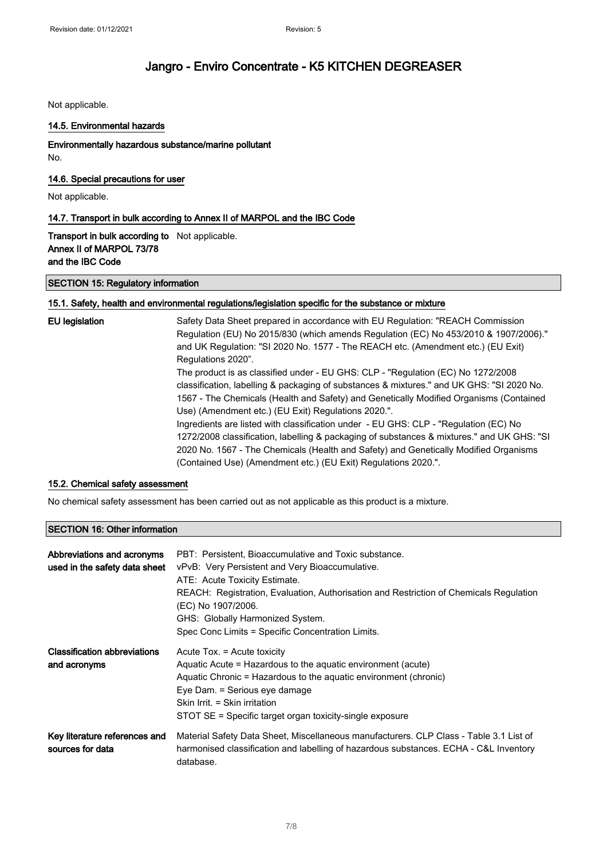Not applicable.

#### 14.5. Environmental hazards

### Environmentally hazardous substance/marine pollutant

No.

### 14.6. Special precautions for user

Not applicable.

### 14.7. Transport in bulk according to Annex II of MARPOL and the IBC Code

Transport in bulk according to Not applicable. Annex II of MARPOL 73/78 and the IBC Code

### SECTION 15: Regulatory information

### 15.1. Safety, health and environmental regulations/legislation specific for the substance or mixture

| EU legislation | Safety Data Sheet prepared in accordance with EU Regulation: "REACH Commission<br>Regulation (EU) No 2015/830 (which amends Regulation (EC) No 453/2010 & 1907/2006)."<br>and UK Regulation: "SI 2020 No. 1577 - The REACH etc. (Amendment etc.) (EU Exit)<br>Regulations 2020".                                                             |
|----------------|----------------------------------------------------------------------------------------------------------------------------------------------------------------------------------------------------------------------------------------------------------------------------------------------------------------------------------------------|
|                | The product is as classified under - EU GHS: CLP - "Regulation (EC) No 1272/2008<br>classification, labelling & packaging of substances & mixtures." and UK GHS: "SI 2020 No.<br>1567 - The Chemicals (Health and Safety) and Genetically Modified Organisms (Contained<br>Use) (Amendment etc.) (EU Exit) Regulations 2020.".               |
|                | Ingredients are listed with classification under - EU GHS: CLP - "Regulation (EC) No<br>1272/2008 classification, labelling & packaging of substances & mixtures." and UK GHS: "SI<br>2020 No. 1567 - The Chemicals (Health and Safety) and Genetically Modified Organisms<br>(Contained Use) (Amendment etc.) (EU Exit) Regulations 2020.". |

### 15.2. Chemical safety assessment

No chemical safety assessment has been carried out as not applicable as this product is a mixture.

### SECTION 16: Other information

| Abbreviations and acronyms<br>used in the safety data sheet | PBT: Persistent, Bioaccumulative and Toxic substance.<br>vPvB: Very Persistent and Very Bioaccumulative.<br>ATE: Acute Toxicity Estimate.<br>REACH: Registration, Evaluation, Authorisation and Restriction of Chemicals Regulation<br>(EC) No 1907/2006.<br>GHS: Globally Harmonized System.<br>Spec Conc Limits = Specific Concentration Limits. |
|-------------------------------------------------------------|----------------------------------------------------------------------------------------------------------------------------------------------------------------------------------------------------------------------------------------------------------------------------------------------------------------------------------------------------|
| <b>Classification abbreviations</b><br>and acronyms         | Acute Tox. = Acute toxicity<br>Aquatic Acute = Hazardous to the aquatic environment (acute)<br>Aquatic Chronic = Hazardous to the aquatic environment (chronic)<br>Eye Dam. = Serious eye damage<br>Skin Irrit. = Skin irritation<br>STOT SE = Specific target organ toxicity-single exposure                                                      |
| Key literature references and<br>sources for data           | Material Safety Data Sheet, Miscellaneous manufacturers. CLP Class - Table 3.1 List of<br>harmonised classification and labelling of hazardous substances. ECHA - C&L Inventory<br>database.                                                                                                                                                       |